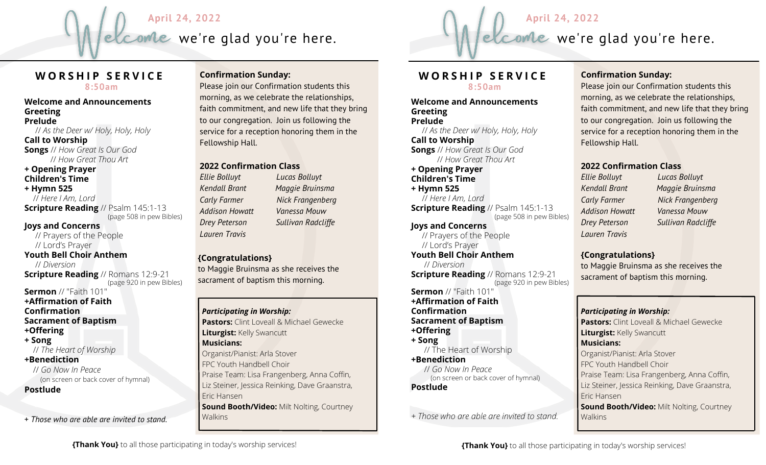



# **W O R S H I P S E R V I C E 8:50am**

### **Welcome and Announcements Greeting**

**Prelude** // *As the Deer w/ Holy, Holy, Holy* **Call to Worship Songs** // *How Great Is Our God* // *How Great Thou Art*

#### **+ Opening Prayer Children's Time**

**+ Hymn 525**

# // *Here I Am, Lord*

**Scripture Reading** // Psalm 145:1-13 (page 508 in pew Bibles)

# **Joys and Concerns**

// Prayers of the People // Lord's Prayer

#### **Youth Bell Choir Anthem** // *Diversion*

**Scripture Reading** // Romans 12:9-21 (page 920 in pew Bibles)

#### **Sermon** // "Faith 101" **+Affirmation of Faith Confirmation**

### **Sacrament of Baptism**

# **+Offering**

**+ Song**

# // *The Heart of Worship*

**+Benediction** // *Go Now In Peace* (on screen or back cover of hymnal)

# **Postlude**

+ *Those who are able are invited to stand.*

# **Confirmation Sunday:**

Please join our Confirmation students this morning, as we celebrate the relationships, faith commitment, and new life that they bring to our congregation. Join us following the service for a reception honoring them in the Fellowship Hall.

## **2022 Confirmation Class**

*Ellie Bolluyt Lucas Bolluyt Kendall Brant Maggie Bruinsma*

# **{Congratulations}**

to Maggie Bruinsma as she receives the sacrament of baptism this morning.

# *Participating in Worship:* **Pastors:** Clint Loveall & Michael Gewecke **Liturgist: Kelly Swancutt Musicians:** Organist/Pianist: Arla Stover

FPC Youth Handbell Choir Praise Team: Lisa Frangenberg, Anna Coffin, Liz Steiner, Jessica Reinking, Dave Graanstra, Eric Hansen

**Sound Booth/Video:** Milt Nolting, Courtney **Walkins** 

# **W O R S H I P S E R V I C E 8:50am**

# **Welcome and Announcements Greeting**

**Prelude** // *As the Deer w/ Holy, Holy, Holy* **Call to Worship Songs** // *How Great Is Our God* // *How Great Thou Art* **+ Opening Prayer**

**Children's Time + Hymn 525** // *Here I Am, Lord* **Scripture Reading** // Psalm 145:1-13

(page 508 in pew Bibles)

# **Joys and Concerns**

// Prayers of the People // Lord's Prayer

# **Youth Bell Choir Anthem** // *Diversion*

**Scripture Reading** // Romans 12:9-21 (page 920 in pew Bibles)

#### **Sermon** // "Faith 101" **+Affirmation of Faith Confirmation Sacrament of Baptism +Offering + Song** // The Heart of Worship **+Benediction** // *Go Now In Peace* (on screen or back cover of hymnal) **Postlude**

*+ Those who are able are invited to stand.*

### **Confirmation Sunday:**

Please join our Confirmation students this morning, as we celebrate the relationships, faith commitment, and new life that they bring to our congregation. Join us following the service for a reception honoring them in the Fellowship Hall.

# **2022 Confirmation Class**

*Ellie Bolluyt Lucas Bolluyt Kendall Brant Maggie Bruinsma Carly Farmer Nick Frangenberg Addison Howatt Vanessa Mouw Drey Peterson Sullivan Radcliffe Lauren Travis*

# **{Congratulations}**

to Maggie Bruinsma as she receives the sacrament of baptism this morning.

#### *Participating in Worship:*

**Pastors:** Clint Loveall & Michael Gewecke **Liturgist: Kelly Swancutt Musicians:** Organist/Pianist: Arla Stover FPC Youth Handbell Choir Praise Team: Lisa Frangenberg, Anna Coffin, Liz Steiner, Jessica Reinking, Dave Graanstra, Eric Hansen **Sound Booth/Video:** Milt Nolting, Courtney

**Walkins** 

*Carly Farmer Nick Frangenberg Addison Howatt Vanessa Mouw Drey Peterson Sullivan Radcliffe Lauren Travis*